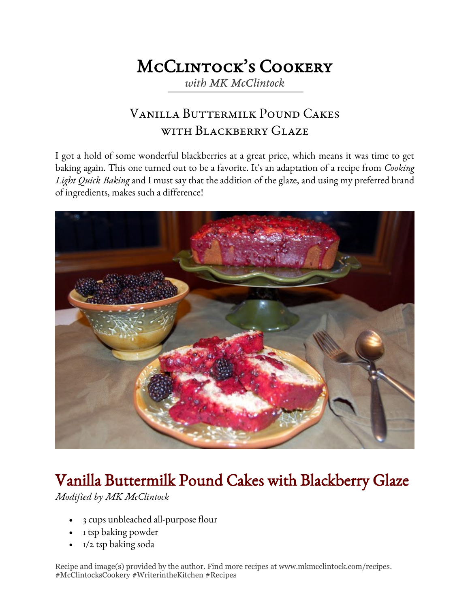## McClintock's Cookery

*with MK McClintock*

## Vanilla Buttermilk Pound Cakes WITH BLACKBERRY GLAZE

I got a hold of some wonderful blackberries at a great price, which means it was time to get baking again. This one turned out to be a favorite. It's an adaptation of a recipe from *Cooking Light Quick Baking* and I must say that the addition of the glaze, and using my preferred brand of ingredients, makes such a difference!



## Vanilla Buttermilk Pound Cakes with Blackberry Glaze

*Modified by MK McClintock*

- 3 cups unbleached all-purpose flour
- 1 tsp baking powder
- 1/2 tsp baking soda

Recipe and image(s) provided by the author. Find more recipes at www.mkmcclintock.com/recipes. #McClintocksCookery #WriterintheKitchen #Recipes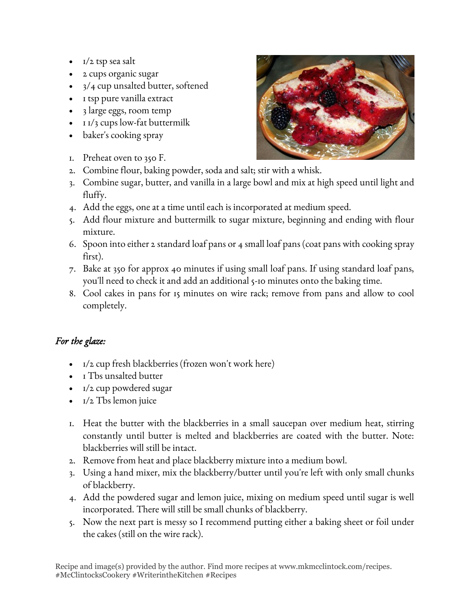- 1/2 tsp sea salt
- 2 cups organic sugar
- 3/4 cup unsalted butter, softened
- 1 tsp pure vanilla extract
- 3 large eggs, room temp
- $\cdot$  1  $\frac{1}{3}$  cups low-fat buttermilk
- baker's cooking spray
- 1. Preheat oven to 350 F.
- 2. Combine flour, baking powder, soda and salt; stir with a whisk.
- 3. Combine sugar, butter, and vanilla in a large bowl and mix at high speed until light and fluffy.
- 4. Add the eggs, one at a time until each is incorporated at medium speed.
- 5. Add flour mixture and buttermilk to sugar mixture, beginning and ending with flour mixture.
- 6. Spoon into either 2 standard loaf pans or 4 small loaf pans (coat pans with cooking spray first).
- 7. Bake at 350 for approx 40 minutes if using small loaf pans. If using standard loaf pans, you'll need to check it and add an additional 5-10 minutes onto the baking time.
- 8. Cool cakes in pans for 15 minutes on wire rack; remove from pans and allow to cool completely.

## *For the glaze:*

- 1/2 cup fresh blackberries (frozen won't work here)
- I Tbs unsalted butter
- 1/2 cup powdered sugar
- $\bullet$   $I/2$  Tbs lemon juice
- 1. Heat the butter with the blackberries in a small saucepan over medium heat, stirring constantly until butter is melted and blackberries are coated with the butter. Note: blackberries will still be intact.
- 2. Remove from heat and place blackberry mixture into a medium bowl.
- 3. Using a hand mixer, mix the blackberry/butter until you're left with only small chunks of blackberry.
- 4. Add the powdered sugar and lemon juice, mixing on medium speed until sugar is well incorporated. There will still be small chunks of blackberry.
- 5. Now the next part is messy so I recommend putting either a baking sheet or foil under the cakes (still on the wire rack).